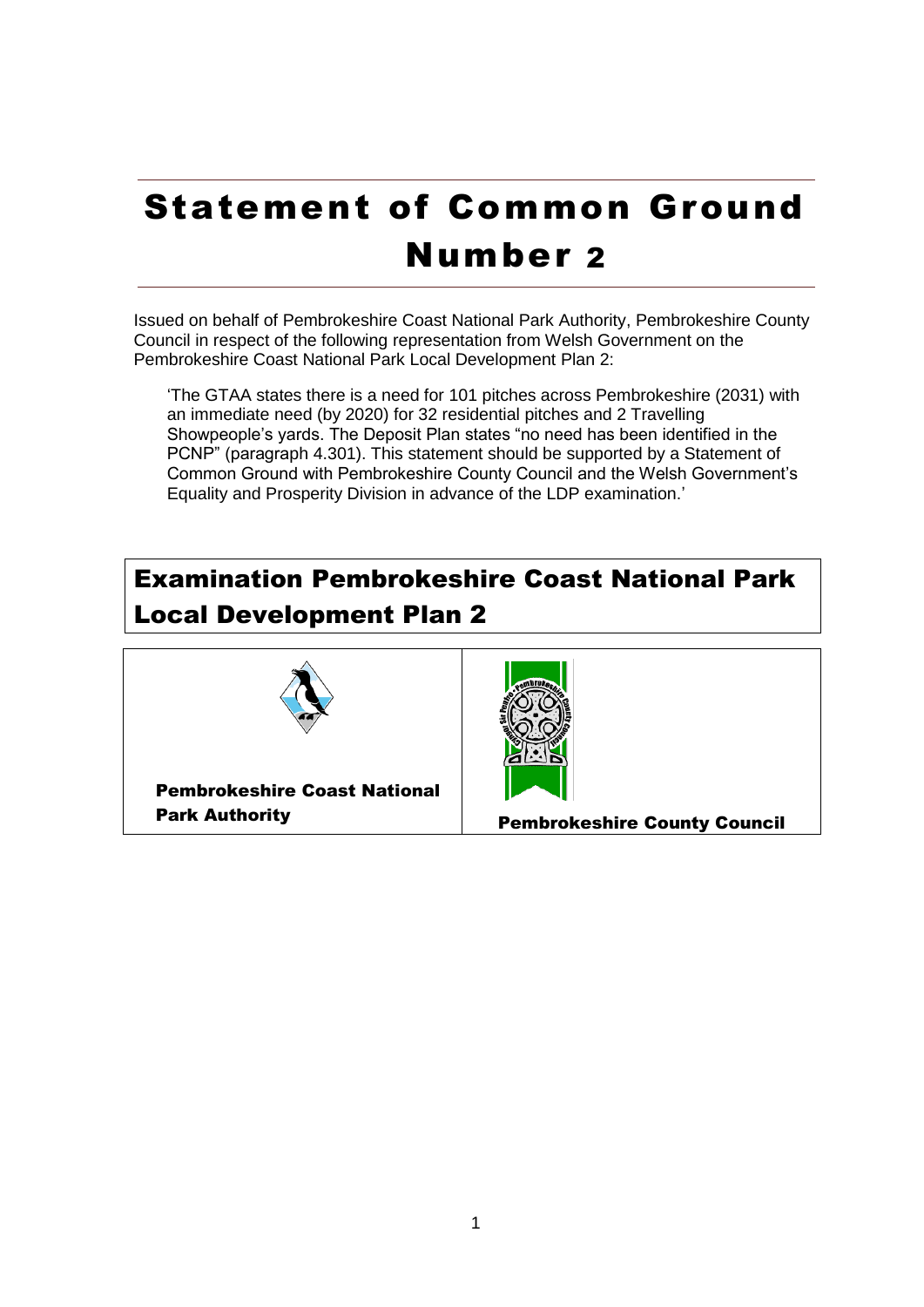## Statement of Common Ground Number 2

Issued on behalf of Pembrokeshire Coast National Park Authority, Pembrokeshire County Council in respect of the following representation from Welsh Government on the Pembrokeshire Coast National Park Local Development Plan 2:

'The GTAA states there is a need for 101 pitches across Pembrokeshire (2031) with an immediate need (by 2020) for 32 residential pitches and 2 Travelling Showpeople's yards. The Deposit Plan states "no need has been identified in the PCNP" (paragraph 4.301). This statement should be supported by a Statement of Common Ground with Pembrokeshire County Council and the Welsh Government's Equality and Prosperity Division in advance of the LDP examination.'

## Examination Pembrokeshire Coast National Park Local Development Plan 2



Pembrokeshire Coast National



Park Authority Pembrokeshire County Council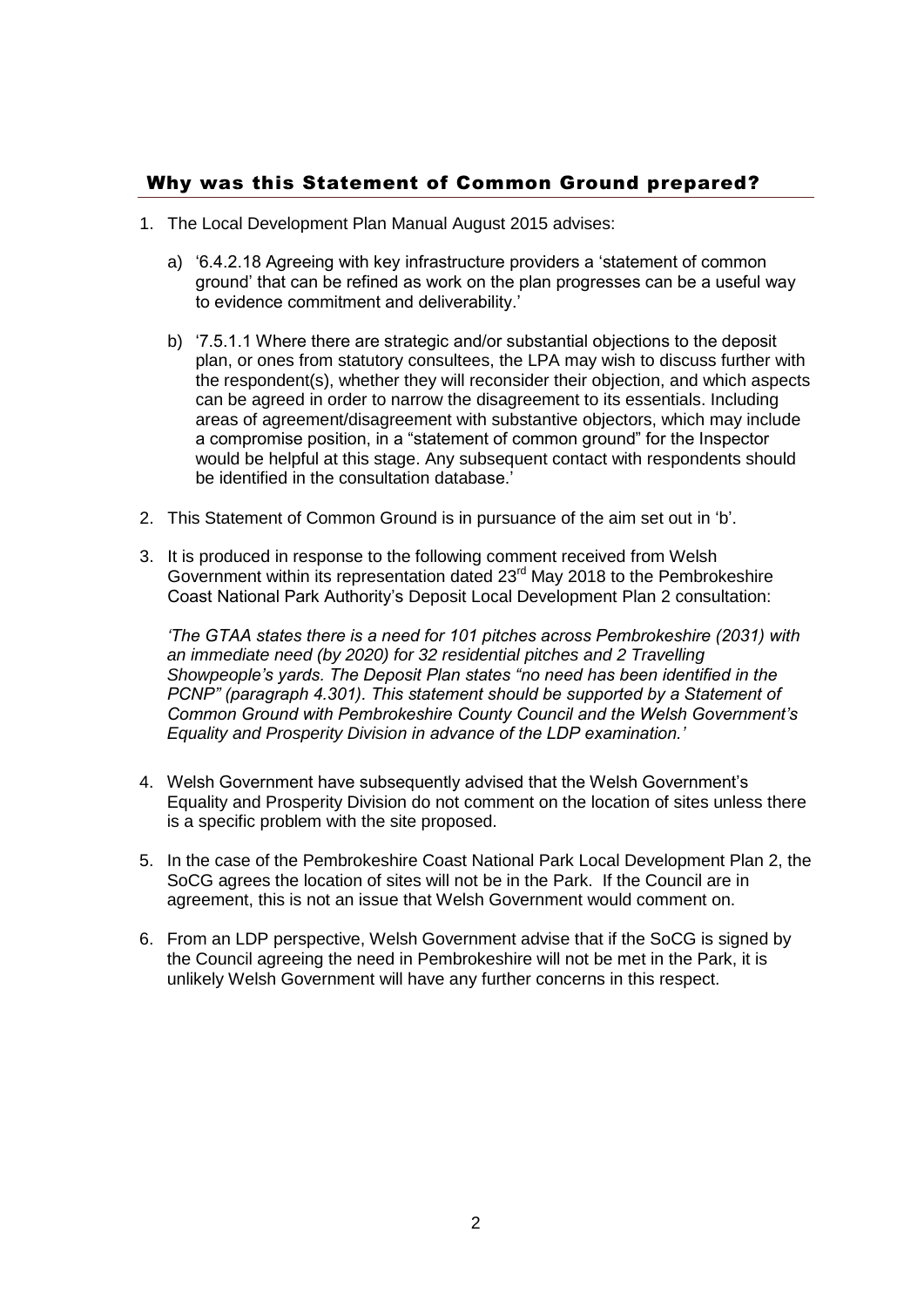## Why was this Statement of Common Ground prepared?

- 1. The Local Development Plan Manual August 2015 advises:
	- a) '6.4.2.18 Agreeing with key infrastructure providers a 'statement of common ground' that can be refined as work on the plan progresses can be a useful way to evidence commitment and deliverability.<sup>'</sup>
	- b) '7.5.1.1 Where there are strategic and/or substantial objections to the deposit plan, or ones from statutory consultees, the LPA may wish to discuss further with the respondent(s), whether they will reconsider their objection, and which aspects can be agreed in order to narrow the disagreement to its essentials. Including areas of agreement/disagreement with substantive objectors, which may include a compromise position, in a "statement of common ground" for the Inspector would be helpful at this stage. Any subsequent contact with respondents should be identified in the consultation database.'
- 2. This Statement of Common Ground is in pursuance of the aim set out in 'b'.
- 3. It is produced in response to the following comment received from Welsh Government within its representation dated  $23<sup>rd</sup>$  May 2018 to the Pembrokeshire Coast National Park Authority's Deposit Local Development Plan 2 consultation:

*'The GTAA states there is a need for 101 pitches across Pembrokeshire (2031) with an immediate need (by 2020) for 32 residential pitches and 2 Travelling Showpeople's yards. The Deposit Plan states "no need has been identified in the PCNP" (paragraph 4.301). This statement should be supported by a Statement of Common Ground with Pembrokeshire County Council and the Welsh Government's Equality and Prosperity Division in advance of the LDP examination.'*

- 4. Welsh Government have subsequently advised that the Welsh Government's Equality and Prosperity Division do not comment on the location of sites unless there is a specific problem with the site proposed.
- 5. In the case of the Pembrokeshire Coast National Park Local Development Plan 2, the SoCG agrees the location of sites will not be in the Park. If the Council are in agreement, this is not an issue that Welsh Government would comment on.
- 6. From an LDP perspective, Welsh Government advise that if the SoCG is signed by the Council agreeing the need in Pembrokeshire will not be met in the Park, it is unlikely Welsh Government will have any further concerns in this respect.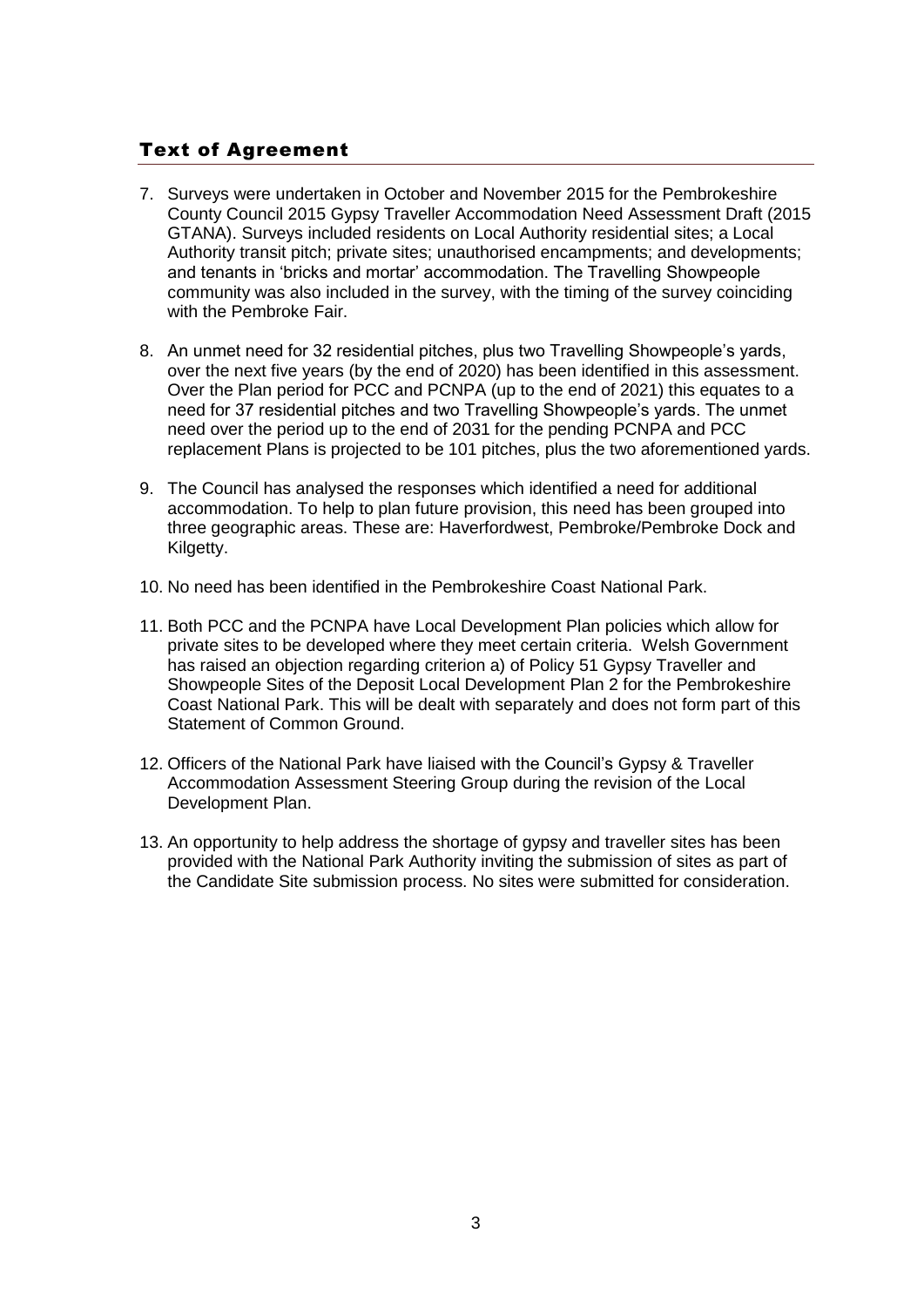## Text of Agreement

- 7. Surveys were undertaken in October and November 2015 for the Pembrokeshire County Council 2015 Gypsy Traveller Accommodation Need Assessment Draft (2015 GTANA). Surveys included residents on Local Authority residential sites; a Local Authority transit pitch; private sites; unauthorised encampments; and developments; and tenants in 'bricks and mortar' accommodation. The Travelling Showpeople community was also included in the survey, with the timing of the survey coinciding with the Pembroke Fair.
- 8. An unmet need for 32 residential pitches, plus two Travelling Showpeople's yards, over the next five years (by the end of 2020) has been identified in this assessment. Over the Plan period for PCC and PCNPA (up to the end of 2021) this equates to a need for 37 residential pitches and two Travelling Showpeople's yards. The unmet need over the period up to the end of 2031 for the pending PCNPA and PCC replacement Plans is projected to be 101 pitches, plus the two aforementioned yards.
- 9. The Council has analysed the responses which identified a need for additional accommodation. To help to plan future provision, this need has been grouped into three geographic areas. These are: Haverfordwest, Pembroke/Pembroke Dock and Kilgetty.
- 10. No need has been identified in the Pembrokeshire Coast National Park.
- 11. Both PCC and the PCNPA have Local Development Plan policies which allow for private sites to be developed where they meet certain criteria. Welsh Government has raised an objection regarding criterion a) of Policy 51 Gypsy Traveller and Showpeople Sites of the Deposit Local Development Plan 2 for the Pembrokeshire Coast National Park. This will be dealt with separately and does not form part of this Statement of Common Ground.
- 12. Officers of the National Park have liaised with the Council's Gypsy & Traveller Accommodation Assessment Steering Group during the revision of the Local Development Plan.
- 13. An opportunity to help address the shortage of gypsy and traveller sites has been provided with the National Park Authority inviting the submission of sites as part of the Candidate Site submission process. No sites were submitted for consideration.